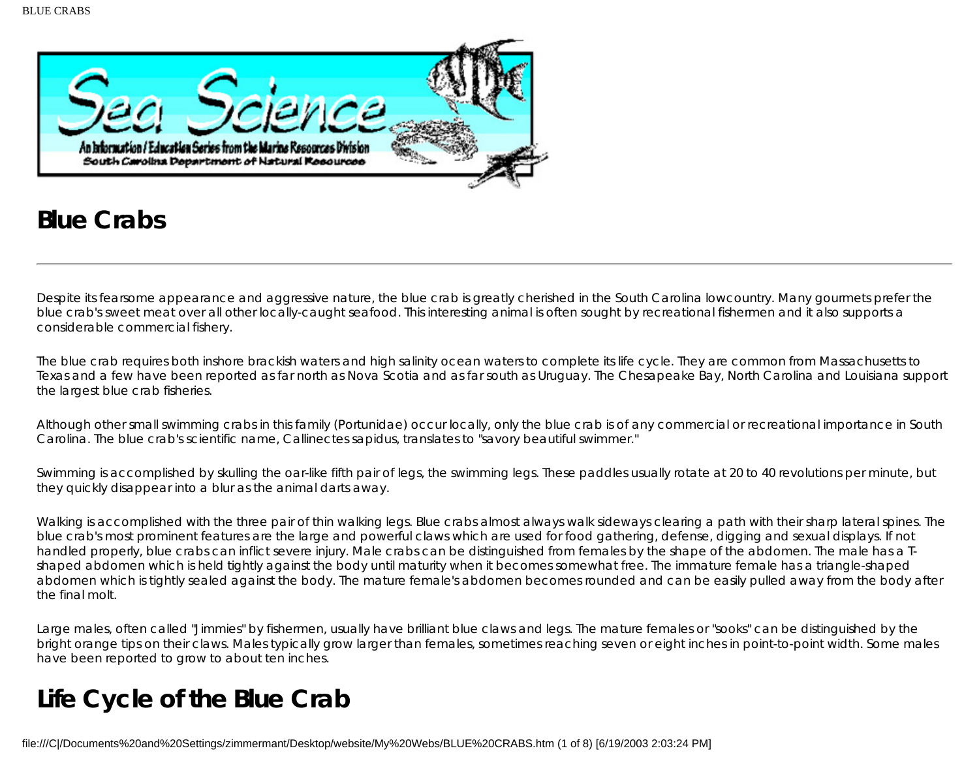

# **Blue Crabs**

Despite its fearsome appearance and aggressive nature, the blue crab is greatly cherished in the South Carolina lowcountry. Many gourmets prefer the blue crab's sweet meat over all other locally-caught seafood. This interesting animal is often sought by recreational fishermen and it also supports a considerable commercial fishery.

The blue crab requires both inshore brackish waters and high salinity ocean waters to complete its life cycle. They are common from Massachusetts to Texas and a few have been reported as far north as Nova Scotia and as far south as Uruguay. The Chesapeake Bay, North Carolina and Louisiana support the largest blue crab fisheries.

Although other small swimming crabs in this family (Portunidae) occur locally, only the blue crab is of any commercial or recreational importance in South Carolina. The blue crab's scientific name, Callinectes sapidus, translates to "savory beautiful swimmer."

Swimming is accomplished by skulling the oar-like fifth pair of legs, the swimming legs. These paddles usually rotate at 20 to 40 revolutions per minute, but they quickly disappear into a blur as the animal darts away.

Walking is accomplished with the three pair of thin walking legs. Blue crabs almost always walk sideways clearing a path with their sharp lateral spines. The blue crab's most prominent features are the large and powerful claws which are used for food gathering, defense, digging and sexual displays. If not handled properly, blue crabs can inflict severe injury. Male crabs can be distinguished from females by the shape of the abdomen. The male has a Tshaped abdomen which is held tightly against the body until maturity when it becomes somewhat free. The immature female has a triangle-shaped abdomen which is tightly sealed against the body. The mature female's abdomen becomes rounded and can be easily pulled away from the body after the final molt.

Large males, often called "Jimmies" by fishermen, usually have brilliant blue claws and legs. The mature females or "sooks" can be distinguished by the bright orange tips on their claws. Males typically grow larger than females, sometimes reaching seven or eight inches in point-to-point width. Some males have been reported to grow to about ten inches.

# **Life Cycle of the Blue Crab**

file:///C|/Documents%20and%20Settings/zimmermant/Desktop/website/My%20Webs/BLUE%20CRABS.htm (1 of 8) [6/19/2003 2:03:24 PM]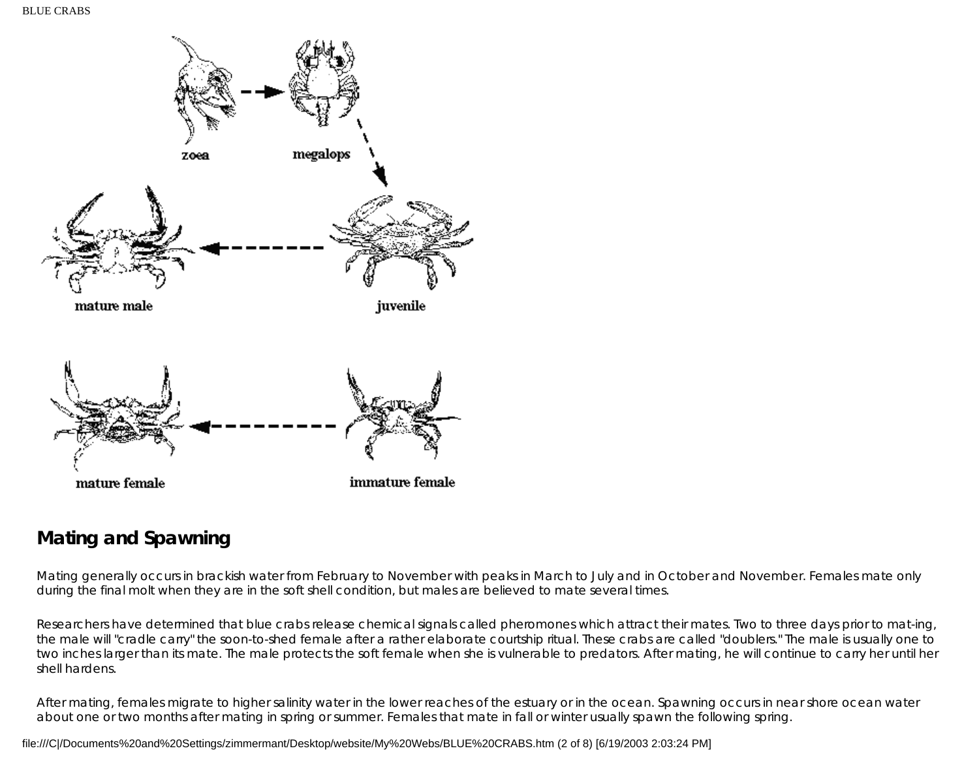

## **Mating and Spawning**

Mating generally occurs in brackish water from February to November with peaks in March to July and in October and November. Females mate only during the final molt when they are in the soft shell condition, but males are believed to mate several times.

Researchers have determined that blue crabs release chemical signals called pheromones which attract their mates. Two to three days prior to mat-ing, the male will "cradle carry" the soon-to-shed female after a rather elaborate courtship ritual. These crabs are called "doublers." The male is usually one to two inches larger than its mate. The male protects the soft female when she is vulnerable to predators. After mating, he will continue to carry her until her shell hardens.

After mating, females migrate to higher salinity water in the lower reaches of the estuary or in the ocean. Spawning occurs in near shore ocean water about one or two months after mating in spring or summer. Females that mate in fall or winter usually spawn the following spring.

file:///C|/Documents%20and%20Settings/zimmermant/Desktop/website/My%20Webs/BLUE%20CRABS.htm (2 of 8) [6/19/2003 2:03:24 PM]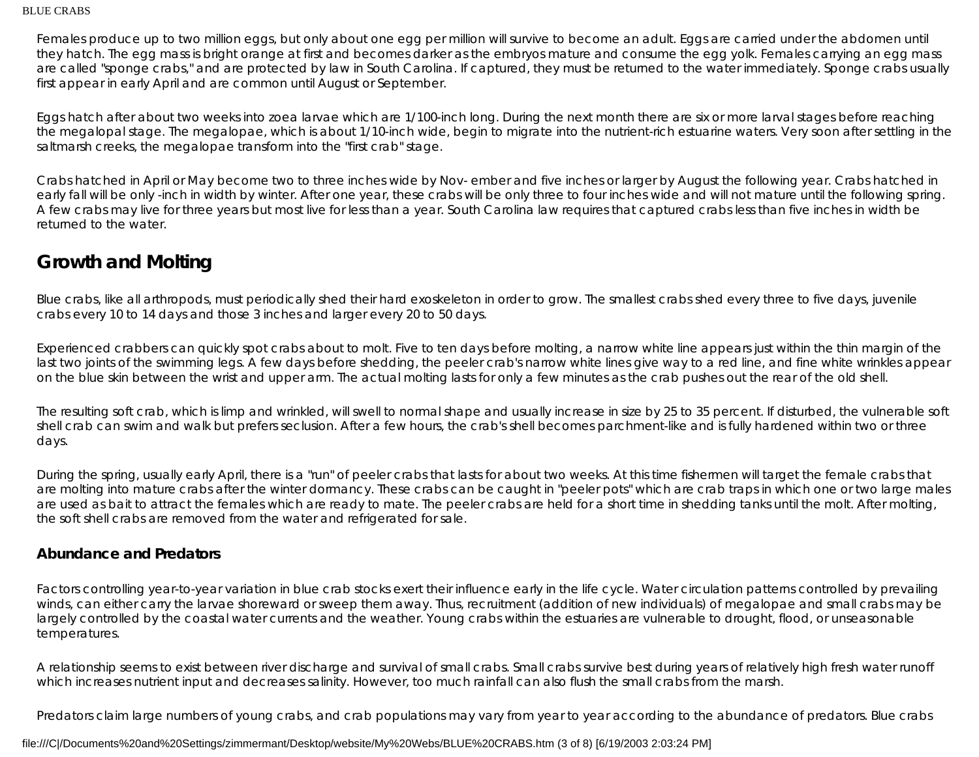Females produce up to two million eggs, but only about one egg per million will survive to become an adult. Eggs are carried under the abdomen until they hatch. The egg mass is bright orange at first and becomes darker as the embryos mature and consume the egg yolk. Females carrying an egg mass are called "sponge crabs," and are protected by law in South Carolina. If captured, they must be returned to the water immediately. Sponge crabs usually first appear in early April and are common until August or September.

Eggs hatch after about two weeks into zoea larvae which are 1/100-inch long. During the next month there are six or more larval stages before reaching the megalopal stage. The megalopae, which is about 1/10-inch wide, begin to migrate into the nutrient-rich estuarine waters. Very soon after settling in the saltmarsh creeks, the megalopae transform into the "first crab" stage.

Crabs hatched in April or May become two to three inches wide by Nov- ember and five inches or larger by August the following year. Crabs hatched in early fall will be only -inch in width by winter. After one year, these crabs will be only three to four inches wide and will not mature until the following spring. A few crabs may live for three years but most live for less than a year. South Carolina law requires that captured crabs less than five inches in width be returned to the water.

## **Growth and Molting**

Blue crabs, like all arthropods, must periodically shed their hard exoskeleton in order to grow. The smallest crabs shed every three to five days, juvenile crabs every 10 to 14 days and those 3 inches and larger every 20 to 50 days.

Experienced crabbers can quickly spot crabs about to molt. Five to ten days before molting, a narrow white line appears just within the thin margin of the last two joints of the swimming legs. A few days before shedding, the peeler crab's narrow white lines give way to a red line, and fine white wrinkles appear on the blue skin between the wrist and upper arm. The actual molting lasts for only a few minutes as the crab pushes out the rear of the old shell.

The resulting soft crab, which is limp and wrinkled, will swell to normal shape and usually increase in size by 25 to 35 percent. If disturbed, the vulnerable soft shell crab can swim and walk but prefers seclusion. After a few hours, the crab's shell becomes parchment-like and is fully hardened within two or three days.

During the spring, usually early April, there is a "run" of peeler crabs that lasts for about two weeks. At this time fishermen will target the female crabs that are molting into mature crabs after the winter dormancy. These crabs can be caught in "peeler pots" which are crab traps in which one or two large males are used as bait to attract the females which are ready to mate. The peeler crabs are held for a short time in shedding tanks until the molt. After molting, the soft shell crabs are removed from the water and refrigerated for sale.

#### **Abundance and Predators**

Factors controlling year-to-year variation in blue crab stocks exert their influence early in the life cycle. Water circulation patterns controlled by prevailing winds, can either carry the larvae shoreward or sweep them away. Thus, recruitment (addition of new individuals) of megalopae and small crabs may be largely controlled by the coastal water currents and the weather. Young crabs within the estuaries are vulnerable to drought, flood, or unseasonable temperatures.

A relationship seems to exist between river discharge and survival of small crabs. Small crabs survive best during years of relatively high fresh water runoff which increases nutrient input and decreases salinity. However, too much rainfall can also flush the small crabs from the marsh.

Predators claim large numbers of young crabs, and crab populations may vary from year to year according to the abundance of predators. Blue crabs

#### file:///C|/Documents%20and%20Settings/zimmermant/Desktop/website/My%20Webs/BLUE%20CRABS.htm (3 of 8) [6/19/2003 2:03:24 PM]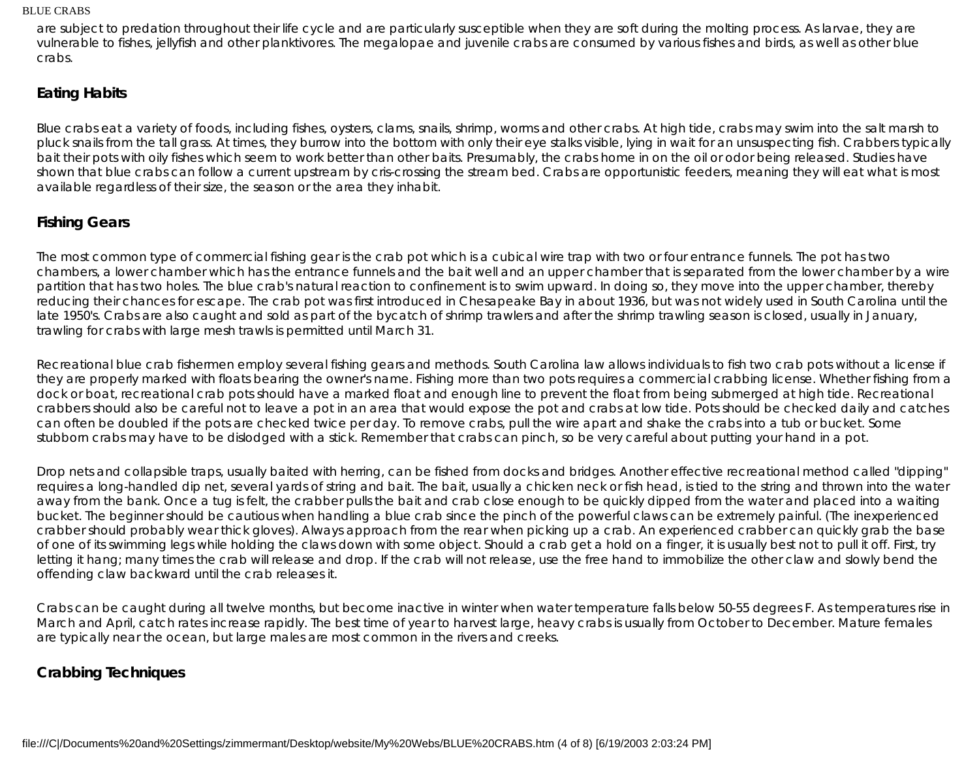are subject to predation throughout their life cycle and are particularly susceptible when they are soft during the molting process. As larvae, they are vulnerable to fishes, jellyfish and other planktivores. The megalopae and juvenile crabs are consumed by various fishes and birds, as well as other blue crabs.

#### **Eating Habits**

Blue crabs eat a variety of foods, including fishes, oysters, clams, snails, shrimp, worms and other crabs. At high tide, crabs may swim into the salt marsh to pluck snails from the tall grass. At times, they burrow into the bottom with only their eye stalks visible, lying in wait for an unsuspecting fish. Crabbers typically bait their pots with oily fishes which seem to work better than other baits. Presumably, the crabs home in on the oil or odor being released. Studies have shown that blue crabs can follow a current upstream by cris-crossing the stream bed. Crabs are opportunistic feeders, meaning they will eat what is most available regardless of their size, the season or the area they inhabit.

### **Fishing Gears**

The most common type of commercial fishing gear is the crab pot which is a cubical wire trap with two or four entrance funnels. The pot has two chambers, a lower chamber which has the entrance funnels and the bait well and an upper chamber that is separated from the lower chamber by a wire partition that has two holes. The blue crab's natural reaction to confinement is to swim upward. In doing so, they move into the upper chamber, thereby reducing their chances for escape. The crab pot was first introduced in Chesapeake Bay in about 1936, but was not widely used in South Carolina until the late 1950's. Crabs are also caught and sold as part of the bycatch of shrimp trawlers and after the shrimp trawling season is closed, usually in January, trawling for crabs with large mesh trawls is permitted until March 31.

Recreational blue crab fishermen employ several fishing gears and methods. South Carolina law allows individuals to fish two crab pots without a license if they are properly marked with floats bearing the owner's name. Fishing more than two pots requires a commercial crabbing license. Whether fishing from a dock or boat, recreational crab pots should have a marked float and enough line to prevent the float from being submerged at high tide. Recreational crabbers should also be careful not to leave a pot in an area that would expose the pot and crabs at low tide. Pots should be checked daily and catches can often be doubled if the pots are checked twice per day. To remove crabs, pull the wire apart and shake the crabs into a tub or bucket. Some stubborn crabs may have to be dislodged with a stick. Remember that crabs can pinch, so be very careful about putting your hand in a pot.

Drop nets and collapsible traps, usually baited with herring, can be fished from docks and bridges. Another effective recreational method called "dipping" requires a long-handled dip net, several yards of string and bait. The bait, usually a chicken neck or fish head, is tied to the string and thrown into the water away from the bank. Once a tug is felt, the crabber pulls the bait and crab close enough to be quickly dipped from the water and placed into a waiting bucket. The beginner should be cautious when handling a blue crab since the pinch of the powerful claws can be extremely painful. (The inexperienced crabber should probably wear thick gloves). Always approach from the rear when picking up a crab. An experienced crabber can quickly grab the base of one of its swimming legs while holding the claws down with some object. Should a crab get a hold on a finger, it is usually best not to pull it off. First, try letting it hang; many times the crab will release and drop. If the crab will not release, use the free hand to immobilize the other claw and slowly bend the offending claw backward until the crab releases it.

Crabs can be caught during all twelve months, but become inactive in winter when water temperature falls below 50-55 degrees F. As temperatures rise in March and April, catch rates increase rapidly. The best time of year to harvest large, heavy crabs is usually from October to December. Mature females are typically near the ocean, but large males are most common in the rivers and creeks.

## **Crabbing Techniques**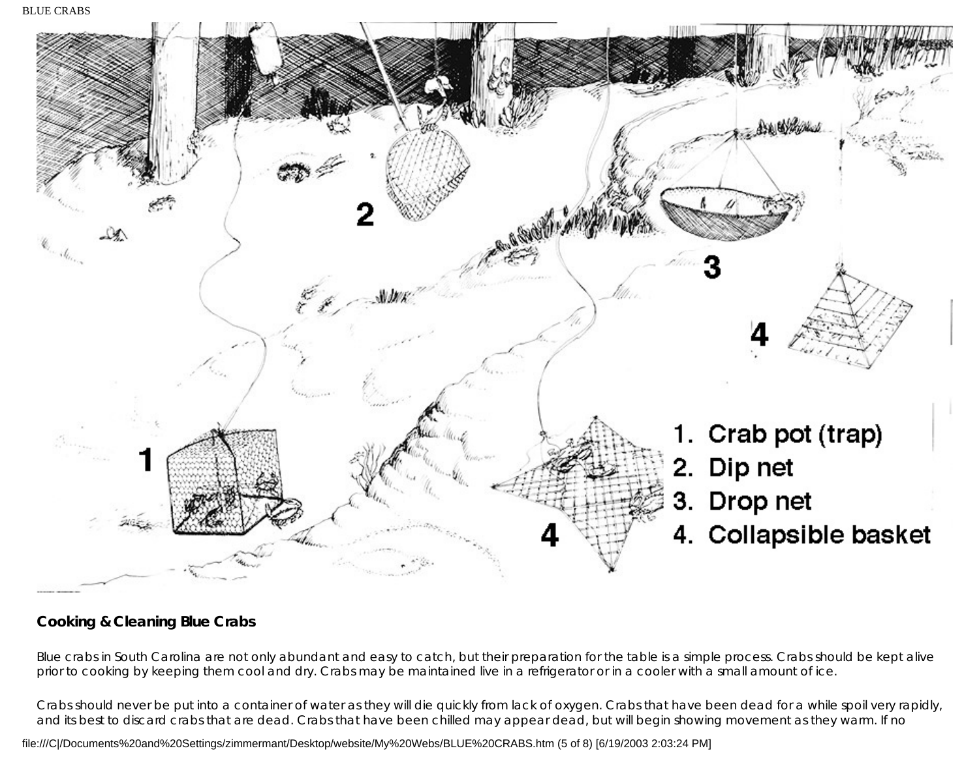BLUE CRABS



## **Cooking & Cleaning Blue Crabs**

Blue crabs in South Carolina are not only abundant and easy to catch, but their preparation for the table is a simple process. Crabs should be kept alive prior to cooking by keeping them cool and dry. Crabs may be maintained live in a refrigerator or in a cooler with a small amount of ice.

Crabs should never be put into a container of water as they will die quickly from lack of oxygen. Crabs that have been dead for a while spoil very rapidly, and its best to discard crabs that are dead. Crabs that have been chilled may appear dead, but will begin showing movement as they warm. If no

file:///C|/Documents%20and%20Settings/zimmermant/Desktop/website/My%20Webs/BLUE%20CRABS.htm (5 of 8) [6/19/2003 2:03:24 PM]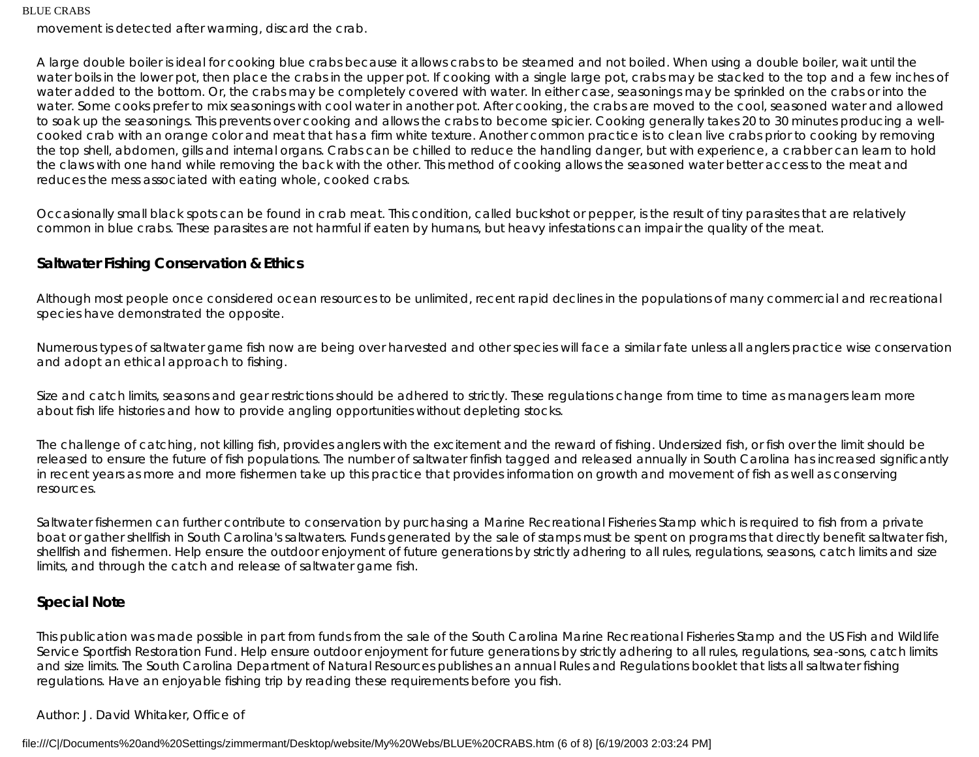movement is detected after warming, discard the crab.

A large double boiler is ideal for cooking blue crabs because it allows crabs to be steamed and not boiled. When using a double boiler, wait until the water boils in the lower pot, then place the crabs in the upper pot. If cooking with a single large pot, crabs may be stacked to the top and a few inches of water added to the bottom. Or, the crabs may be completely covered with water. In either case, seasonings may be sprinkled on the crabs or into the water. Some cooks prefer to mix seasonings with cool water in another pot. After cooking, the crabs are moved to the cool, seasoned water and allowed to soak up the seasonings. This prevents over cooking and allows the crabs to become spicier. Cooking generally takes 20 to 30 minutes producing a wellcooked crab with an orange color and meat that has a firm white texture. Another common practice is to clean live crabs prior to cooking by removing the top shell, abdomen, gills and internal organs. Crabs can be chilled to reduce the handling danger, but with experience, a crabber can learn to hold the claws with one hand while removing the back with the other. This method of cooking allows the seasoned water better access to the meat and reduces the mess associated with eating whole, cooked crabs.

Occasionally small black spots can be found in crab meat. This condition, called buckshot or pepper, is the result of tiny parasites that are relatively common in blue crabs. These parasites are not harmful if eaten by humans, but heavy infestations can impair the quality of the meat.

## **Saltwater Fishing Conservation & Ethics**

Although most people once considered ocean resources to be unlimited, recent rapid declines in the populations of many commercial and recreational species have demonstrated the opposite.

Numerous types of saltwater game fish now are being over harvested and other species will face a similar fate unless all anglers practice wise conservation and adopt an ethical approach to fishing.

Size and catch limits, seasons and gear restrictions should be adhered to strictly. These regulations change from time to time as managers learn more about fish life histories and how to provide angling opportunities without depleting stocks.

The challenge of catching, not killing fish, provides anglers with the excitement and the reward of fishing. Undersized fish, or fish over the limit should be released to ensure the future of fish populations. The number of saltwater finfish tagged and released annually in South Carolina has increased significantly in recent years as more and more fishermen take up this practice that provides information on growth and movement of fish as well as conserving resources.

Saltwater fishermen can further contribute to conservation by purchasing a Marine Recreational Fisheries Stamp which is required to fish from a private boat or gather shellfish in South Carolina's saltwaters. Funds generated by the sale of stamps must be spent on programs that directly benefit saltwater fish, shellfish and fishermen. Help ensure the outdoor enjoyment of future generations by strictly adhering to all rules, regulations, seasons, catch limits and size limits, and through the catch and release of saltwater game fish.

## **Special Note**

This publication was made possible in part from funds from the sale of the South Carolina Marine Recreational Fisheries Stamp and the US Fish and Wildlife Service Sportfish Restoration Fund. Help ensure outdoor enjoyment for future generations by strictly adhering to all rules, regulations, sea-sons, catch limits and size limits. The South Carolina Department of Natural Resources publishes an annual Rules and Regulations booklet that lists all saltwater fishing regulations. Have an enjoyable fishing trip by reading these requirements before you fish.

#### Author: J. David Whitaker, Office of

file:///C|/Documents%20and%20Settings/zimmermant/Desktop/website/My%20Webs/BLUE%20CRABS.htm (6 of 8) [6/19/2003 2:03:24 PM]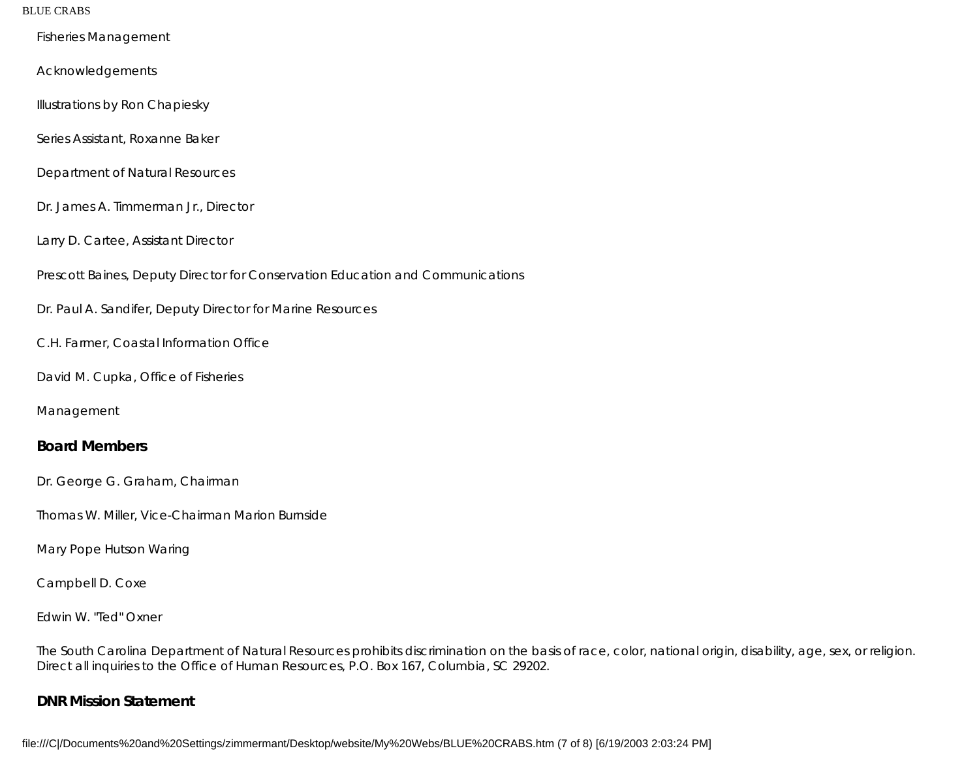Fisheries Management

Acknowledgements

Illustrations by Ron Chapiesky

Series Assistant, Roxanne Baker

Department of Natural Resources

Dr. James A. Timmerman Jr., Director

Larry D. Cartee, Assistant Director

Prescott Baines, Deputy Director for Conservation Education and Communications

Dr. Paul A. Sandifer, Deputy Director for Marine Resources

C.H. Farmer, Coastal Information Office

David M. Cupka, Office of Fisheries

Management

#### **Board Members**

Dr. George G. Graham, Chairman

Thomas W. Miller, Vice-Chairman Marion Burnside

Mary Pope Hutson Waring

Campbell D. Coxe

Edwin W. "Ted" Oxner

The South Carolina Department of Natural Resources prohibits discrimination on the basis of race, color, national origin, disability, age, sex, or religion. Direct all inquiries to the Office of Human Resources, P.O. Box 167, Columbia, SC 29202.

#### **DNR Mission Statement**